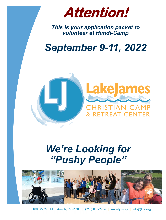

*This is your application packet to volunteer at Handi-Camp*

# *September 9-11, 2022*



# *We're Looking for "Pushy People"*



1880 W 275 N | Angola, IN 46703 | (260) 833-2786 | www.ljca.org | info@ljca.org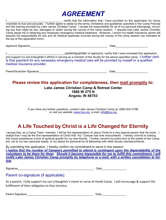# *AGREEMENT*

I, **EXECUTE:** CHECUTE: CHECUTE: CHECUTE: CHECUTE: CHECUTE: CHECUTE: CHECUTE: CHECUTE: CHECUTE: CHECUTE: CHECUTE: CAMP Volunteer is true and accurate. I further agree to abide by the terms, limitations and guidelines specified in the Camp Policies and the training provided by Lake James Christian Camp. I accept full responsibility for all of my personal belongings, including any that might be lost, damaged or stolen during the course of the camp session. I request that Lake James Christian Camp assist me in obtaining any necessary emergency medical treatment. However, I and/or my health insurance carrier will assume full responsibility for any and all medical expenses incurred during the course of the camp session (as indicated at the top of this application form).

Applicant Signature entries and the set of the set of the set of the set of the Date

I, **EXECUTE:** (parent/guardian of applicant), certify that I have reviewed this application, and support my son's/daughter's efforts in serving as a member of the faculty for the above-specified camp. I further certify that payment for any necessary emergency medical care will be provided by myself or a qualified medical insurance provider.

| Parent/Guardian Signature |  |  |
|---------------------------|--|--|
|                           |  |  |

Parent/Guardian Signature\_\_\_\_\_\_\_\_\_\_\_\_\_\_\_\_\_\_\_\_\_\_\_\_\_\_\_\_\_\_\_\_\_\_\_\_\_\_\_\_\_\_\_\_ Date\_\_\_\_\_\_\_\_\_\_\_\_\_\_\_\_\_\_\_\_\_

### **Please review this application for completeness, then mail promptly to:**

#### **Lake James Christian Camp & Retreat Center 1880 W 275 N Angola, IN 46703**

If you have any further questions, contact Lake James Christian Camp at: (260) 833-2786 or visit our website: [www.ljca.org](http://www.powerministries.org/) e-mail: info@ljca.org

### **A Life Touched by Christ is a Life Changed for Eternity**

I accept that, as a Camp Team member, I will be the representation of Jesus Christ to a very special person that He loves. I realize that I may be the first representation of Christ that "my" Camper has ever encountered. I hereby commit to making this Camp experience a time of spiritual growth for my new friends. I further commit my entire time to the needs of the Campers, not to my own personal needs, or my desire for personal fun & fellowship with other faculty members/friends.

By submitting this application, I hereby confirm my commitment to serve in this session.

*I realize that the number of Campers permitted to attend is contingent upon the dependability of the volunteers to be there for them. Should it become impossible for me to fulfill this commitment, I will notify Lake James Christian Camp promptly by telephone or e-mail, with a written cancellation to follow.*

Signature **Example 20** and the set of the set of the set of the set of the set of the set of the set of the set of the set of the set of the set of the set of the set of the set of the set of the set of the set of the set

#### Parent co-signature (if applicable):

As a parent, I fully support my son's/daughter's intent to serve at Handi-Camp. I will encourage & support the fulfillment of their obligation to that ministry.

Parent Signature\_\_\_\_\_\_\_\_\_\_\_\_\_\_\_\_\_\_\_\_\_\_\_\_\_\_\_\_\_\_\_\_\_\_\_\_\_\_\_\_\_\_\_ Date\_\_\_\_\_\_\_\_\_\_\_\_\_\_\_\_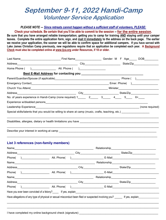### **September 9-11, 2022 Handi-Camp Volunteer Service Application**

#### *PLEASE NOTE* **--** *Since retreats cannot happen without a sufficient staff of volunteers, PLEASE:*

**Check your schedule. Be certain that you'll be able to commit to the session -- for the entire session. Be sure that you have arranged reliable transportation; getting you to camp for training AND staying until your camper leaves. Complete the entire application form, sign, and mail it immediately to the address on the back page. The earlier we receive your application, the sooner we will be able to confirm space for additional campers. If you have served with Lake James Christian Camp previously, new regulations require that an application be completed each year. A Background Check must also be completed online at www.ljca.org under Resources, if 18 or older.**

| Last Name                                                                                         | First Name | Gender: M F Age |         | DOB                                                                                                                                                                                                                                                                                                                                                                     |  |
|---------------------------------------------------------------------------------------------------|------------|-----------------|---------|-------------------------------------------------------------------------------------------------------------------------------------------------------------------------------------------------------------------------------------------------------------------------------------------------------------------------------------------------------------------------|--|
|                                                                                                   |            |                 |         |                                                                                                                                                                                                                                                                                                                                                                         |  |
|                                                                                                   |            |                 |         |                                                                                                                                                                                                                                                                                                                                                                         |  |
|                                                                                                   |            |                 |         |                                                                                                                                                                                                                                                                                                                                                                         |  |
|                                                                                                   |            |                 | Phone ( | $\begin{picture}(20,10) \put(0,0){\dashbox{0.5}(10,0){ }} \put(15,0){\dashbox{0.5}(10,0){ }} \put(15,0){\dashbox{0.5}(10,0){ }} \put(15,0){\dashbox{0.5}(10,0){ }} \put(15,0){\dashbox{0.5}(10,0){ }} \put(15,0){\dashbox{0.5}(10,0){ }} \put(15,0){\dashbox{0.5}(10,0){ }} \put(15,0){\dashbox{0.5}(10,0){ }} \put(15,0){\dashbox{0.5}(10,0){ }} \put(15,0){\dashbox{$ |  |
|                                                                                                   |            |                 |         | Emer. Phone()                                                                                                                                                                                                                                                                                                                                                           |  |
|                                                                                                   |            |                 |         |                                                                                                                                                                                                                                                                                                                                                                         |  |
|                                                                                                   |            |                 |         |                                                                                                                                                                                                                                                                                                                                                                         |  |
|                                                                                                   |            |                 |         | 6+                                                                                                                                                                                                                                                                                                                                                                      |  |
|                                                                                                   |            |                 |         |                                                                                                                                                                                                                                                                                                                                                                         |  |
|                                                                                                   |            |                 |         | (none required)                                                                                                                                                                                                                                                                                                                                                         |  |
| Special skills/talents that you would be willing to share at camp (music, crafts, teaching, etc.) |            |                 |         |                                                                                                                                                                                                                                                                                                                                                                         |  |
|                                                                                                   |            |                 |         |                                                                                                                                                                                                                                                                                                                                                                         |  |
| Describe your interest in working at camp                                                         |            |                 |         |                                                                                                                                                                                                                                                                                                                                                                         |  |

#### **List 3 references (non-family members)**

|         |                                                                                                                      |             |              |                                                                                                                  | Relationship<br>The Communications of the Communications of the Communications of the Communications of the Communications of the Communications of the Communications of the Communications of the Communications of the Commun |
|---------|----------------------------------------------------------------------------------------------------------------------|-------------|--------------|------------------------------------------------------------------------------------------------------------------|----------------------------------------------------------------------------------------------------------------------------------------------------------------------------------------------------------------------------------|
| Address |                                                                                                                      |             |              |                                                                                                                  | State/Zip<br>the control of the control of the                                                                                                                                                                                   |
| Phone(  | $\mathbf{I}$                                                                                                         | Alt. Phone( | $E$ -Mail    |                                                                                                                  |                                                                                                                                                                                                                                  |
|         |                                                                                                                      |             |              |                                                                                                                  | Relationship<br>electronic contracts and the set of the set of the set of the set of the set of the set of the set of the set of the set of the set of the set of the set of the set of the set of the set of the set of the set |
| Address |                                                                                                                      |             |              | City 2008 2009 2009 2010 2021 2022 2023 2024 2022 2023 2024 2022 2023 2024 2022 2023 2024 2025 2026 2027 2028 20 | State/Zip___________________                                                                                                                                                                                                     |
|         | Phone()                                                                                                              |             | Alt. Phone() |                                                                                                                  | E-Mail _________________________                                                                                                                                                                                                 |
|         |                                                                                                                      |             |              |                                                                                                                  |                                                                                                                                                                                                                                  |
|         |                                                                                                                      |             |              |                                                                                                                  | State/Zip________________                                                                                                                                                                                                        |
| Phone(  |                                                                                                                      |             | Alt. Phone() |                                                                                                                  | E-Mail <b>E-Mail</b>                                                                                                                                                                                                             |
|         | Have you ever been convicted of a felony? If yes, explain                                                            |             |              |                                                                                                                  |                                                                                                                                                                                                                                  |
|         | Have allegations of any type of physical or sexual misconduct been filed or suspected involving you? If yes, explain |             |              |                                                                                                                  |                                                                                                                                                                                                                                  |
|         |                                                                                                                      |             |              |                                                                                                                  |                                                                                                                                                                                                                                  |
|         |                                                                                                                      |             |              |                                                                                                                  |                                                                                                                                                                                                                                  |

I have completed my online background check (signature) \_